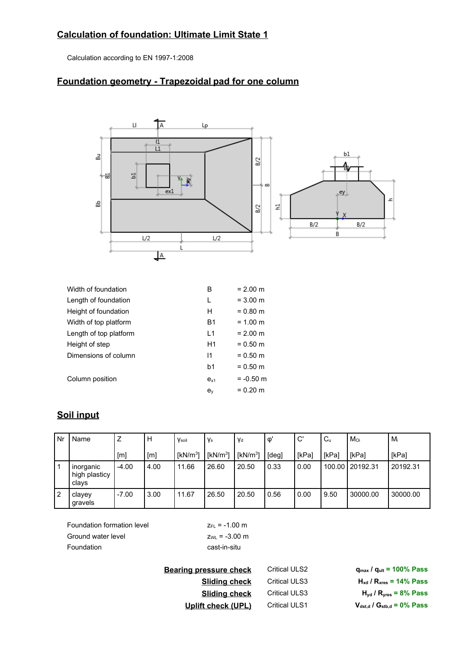## **Calculation of foundation: Ultimate Limit State 1**

Calculation according to EN 1997-1:2008

## **Foundation geometry - Trapezoidal pad for one column**



| Width of foundation    | B              | $= 2.00 \text{ m}$ |
|------------------------|----------------|--------------------|
| Length of foundation   | L              | $= 3.00 \text{ m}$ |
| Height of foundation   | н              | $= 0.80$ m         |
| Width of top platform  | <b>B1</b>      | $= 1.00$ m         |
| Length of top platform | $\overline{1}$ | $= 2.00 \text{ m}$ |
| Height of step         | H1             | $= 0.50$ m         |
| Dimensions of column   | 11             | $= 0.50$ m         |
|                        | b1             | $= 0.50$ m         |
| Column position        | $e_{x1}$       | $= -0.50$ m        |
|                        | $e_v$          | $= 0.20$ m         |
|                        |                |                    |

## **Soil input**

| Nr             | Name                                | Ζ       | н    | Vsoil        | Vs           | Vd           | $\mathsf{\Phi}$ | .C'   | $C_{u}$ | Moi      | Mi       |
|----------------|-------------------------------------|---------|------|--------------|--------------|--------------|-----------------|-------|---------|----------|----------|
|                |                                     | [m]     | [m]  | [ $kN/m^3$ ] | [ $kN/m^3$ ] | [ $kN/m^3$ ] | [deg]           | [kPa] | [kPa]   | [kPa]    | [kPa]    |
|                | inorganic<br>high plasticy<br>clays | $-4.00$ | 4.00 | 11.66        | 26.60        | 20.50        | 0.33            | 0.00  | 100.00  | 20192.31 | 20192.31 |
| $\overline{2}$ | clayey<br>gravels                   | $-7.00$ | 3.00 | 11.67        | 26.50        | 20.50        | 0.56            | 0.00  | 9.50    | 30000.00 | 30000.00 |

Foundation formation level  $Z_{FL} = -1.00$  m Ground water level  $Z_{WL} = -3.00 \text{ m}$ Foundation cast-in-situ

**Bearing pressure check** Critical ULS2 **<sup>q</sup>max / <sup>q</sup>ult <sup>=</sup> 100% Pass Sliding check** Critical ULS3 **<sup>H</sup>xd / <sup>R</sup>xres <sup>=</sup> 14% Pass Sliding check** Critical ULS3 **<sup>H</sup>yd / <sup>R</sup>yres <sup>=</sup> 8% Pass Uplift check (UPL)** Critical ULS1 **<sup>V</sup>dst,d / <sup>G</sup>stb,d <sup>=</sup> 0% Pass**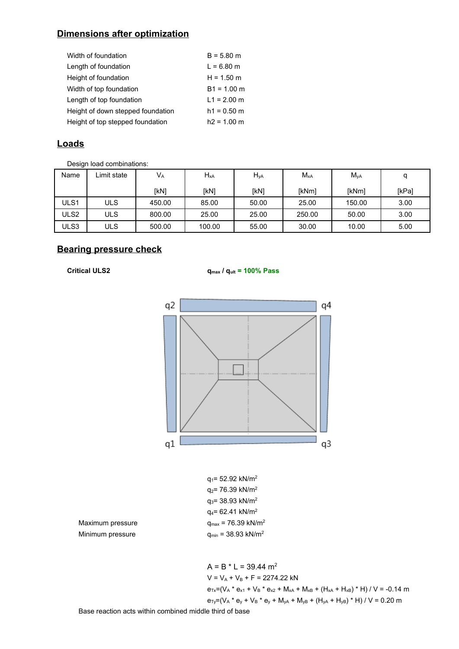## **Dimensions after optimization**

| Width of foundation               | $B = 5.80$ m  |
|-----------------------------------|---------------|
| Length of foundation              | $L = 6.80$ m  |
| Height of foundation              | $H = 1.50$ m  |
| Width of top foundation           | $B1 = 1.00$ m |
| Length of top foundation          | $L1 = 2.00$ m |
| Height of down stepped foundation | $h1 = 0.50$ m |
| Height of top stepped foundation  | $h2 = 1.00$ m |

### **Loads**

Design load combinations:

| Name | Limit state | $V_A$  | $H_{xA}$ | $H_{yA}$ | $M_{xA}$ | $M_{yA}$ | a     |
|------|-------------|--------|----------|----------|----------|----------|-------|
|      |             | [kN]   | [kN]     | [kN]     | [kNm]    | [kNm]    | [kPa] |
| ULS1 | <b>ULS</b>  | 450.00 | 85.00    | 50.00    | 25.00    | 150.00   | 3.00  |
| ULS2 | ULS         | 800.00 | 25.00    | 25.00    | 250.00   | 50.00    | 3.00  |
| ULS3 | ULS         | 500.00 | 100.00   | 55.00    | 30.00    | 10.00    | 5.00  |

## **Bearing pressure check**

**Critical ULS2 qmax / qult <sup>=</sup> 100% Pass**



 $A = B * L = 39.44$  m<sup>2</sup>  $V = V_A + V_B + F = 2274.22$  kN  $e_{Tx}=(V_A * e_{x1} + V_B * e_{x2} + M_{xA} + M_{xB} + (H_{xA} + H_{xB}) * H) / V = -0.14$  m  $e_{Ty}=(V_A * e_y + V_B * e_y + M_{yA} + M_{yB} + (H_{yA} + H_{yB}) * H) / V = 0.20$  m

Base reaction acts within combined middle third of base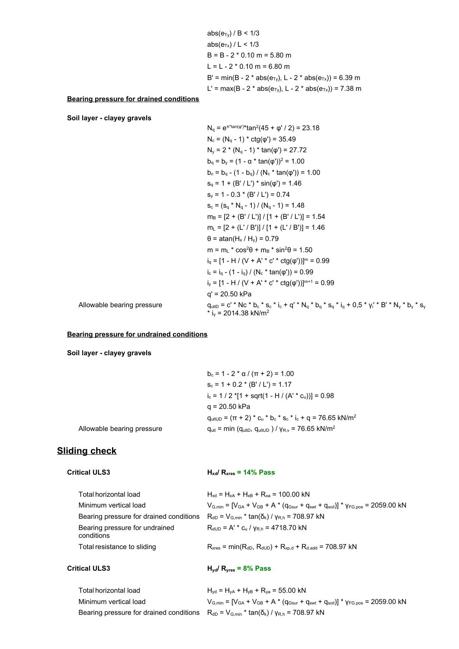|                                                | $abs(e_{\text{tv}})/B < 1/3$                                                      |
|------------------------------------------------|-----------------------------------------------------------------------------------|
|                                                | $abs(e_{Tx}) / L < 1/3$                                                           |
|                                                | $B = B - 2 * 0.10$ m = 5.80 m                                                     |
|                                                | $L = L - 2 * 0.10$ m = 6.80 m                                                     |
|                                                | B' = min(B - 2 * abs( $e_{Tv}$ ), L - 2 * abs( $e_{Tx}$ )) = 6.39 m               |
|                                                | L' = max(B - 2 * abs( $e_{\text{Tv}}$ ), L - 2 * abs( $e_{\text{Tx}}$ )) = 7.38 m |
| <b>Bearing pressure for drained conditions</b> |                                                                                   |
| Soil layer - clayey gravels                    |                                                                                   |
|                                                | $N_q = e^{\pi^*tan(\varphi)*}tan^2(45 + \varphi'/2) = 23.18$                      |
|                                                | $N_c = (N_a - 1) * ctg(\varphi') = 35.49$                                         |
|                                                | $N_v = 2 * (N_q - 1) * tan(\varphi') = 27.72$                                     |
|                                                | $b_{\alpha} = b_{v} = (1 - \alpha * tan(\varphi'))^{2} = 1.00$                    |
|                                                | $b_c = b_q - (1 - b_q) / (N_c * tan(\varphi')) = 1.00$                            |
|                                                | $s_q = 1 + (B'/L')$ * sin( $\varphi$ ) = 1.46                                     |
|                                                | $s_v = 1 - 0.3 * (B'/L') = 0.74$                                                  |
|                                                | $S_c = (S_q * N_q - 1) / (N_q - 1) = 1.48$                                        |
|                                                | $m_B = [2 + (B'/L')] / [1 + (B'/L')] = 1.54$                                      |
|                                                | $m_L = [2 + (L'/B')] / [1 + (L'/B')] = 1.46$                                      |
|                                                | $\theta$ = atan(H <sub>x</sub> / H <sub>y</sub> ) = 0.79                          |
|                                                | $m = m_1$ * $\cos^2\theta + m_B$ * $\sin^2\theta = 1.50$                          |
|                                                | $i_q = [1 - H / (V + A' * c' * ctg(\varphi'))]^{m} = 0.99$                        |
|                                                | $i_c = i_a - (1 - i_a) / (N_c * tan(\phi')) = 0.99$                               |
|                                                |                                                                                   |

q' <sup>=</sup> 20.50 kPa

Allowable bearing pressure  $q_{\sf{uthD}} = c' * Nc * b_c * s_c * i_c + q' * N_q * b_q * s_q * i_q + 0,5 * γ_i' * B' * N_\gamma * s_\gamma$ <br>\* i $_\gamma = 2014.38 \text{ kN/m}^2$ 

#### **Bearing pressure for undrained conditions**

**Soil layer - clayey gravels**

|                            | $b_c = 1 - 2 * \alpha / (\pi + 2) = 1.00$                                          |
|----------------------------|------------------------------------------------------------------------------------|
|                            | $S_c = 1 + 0.2 * (B'/L') = 1.17$                                                   |
|                            | $i_c$ = 1 / 2 *[1 + sqrt(1 - H / (A' * c <sub>u</sub> ))] = 0.98                   |
|                            | q = 20.50 kPa                                                                      |
|                            | $q_{\text{ultUD}} = (\pi + 2)^* c_u * b_c * s_c * i_c + q = 76.65 \text{ kN/m}^2$  |
| Allowable bearing pressure | $q_{ult}$ = min ( $q_{ultD}$ , $q_{ultUD}$ ) / $y_{R,v}$ = 76.65 kN/m <sup>2</sup> |

 $i_y = [1 - H / (V + A' * c' * ctg(φ'))]^{m+1} = 0.99$ 

## **Sliding check**

| <b>Critical ULS3</b>                         | $H_{xd}$ / $R_{xres}$ = 14% Pass                                                                    |
|----------------------------------------------|-----------------------------------------------------------------------------------------------------|
| Total horizontal load                        | $H_{\rm wd}$ = $H_{\rm yA}$ + $H_{\rm yB}$ + $R_{\rm yA}$ = 100.00 kN                               |
| Minimum vertical load                        | $V_{G,min} = [V_{GA} + V_{GB} + A * (q_{Gsur} + q_{swt} + q_{soil})] * v_{FG,pos} = 2059.00 kN$     |
| Bearing pressure for drained conditions      | $R_{dD}$ = $V_{G,min}$ * tan( $\delta_k$ ) / $V_{R,h}$ = 708.97 kN                                  |
| Bearing pressure for undrained<br>conditions | $R_{dUD}$ = A' * $c_{u}$ / $v_{R,h}$ = 4718.70 kN                                                   |
| Total resistance to sliding                  | $R_{xres}$ = min( $R_{dD}$ , $R_{dUD}$ ) + $R_{xp,d}$ + $R_{d,add}$ = 708.97 kN                     |
| <b>Critical ULS3</b>                         | $H_{\text{vd}}/R_{\text{vres}} = 8\%$ Pass                                                          |
| Total horizontal load                        | $H_{yd}$ = $H_{yd}$ + $H_{yB}$ + $R_{ya}$ = 55.00 kN                                                |
| Minimum vertical load                        | $V_{G,min}$ = $[V_{GA} + V_{GB} + A^* (q_{Gsur} + q_{swt} + q_{soil})]$ * $V_{FG,pos}$ = 2059.00 kN |
| Bearing pressure for drained conditions      | $R_{dD}$ = $V_{G,min}$ * tan( $\delta_k$ ) / $V_{R,h}$ = 708.97 kN                                  |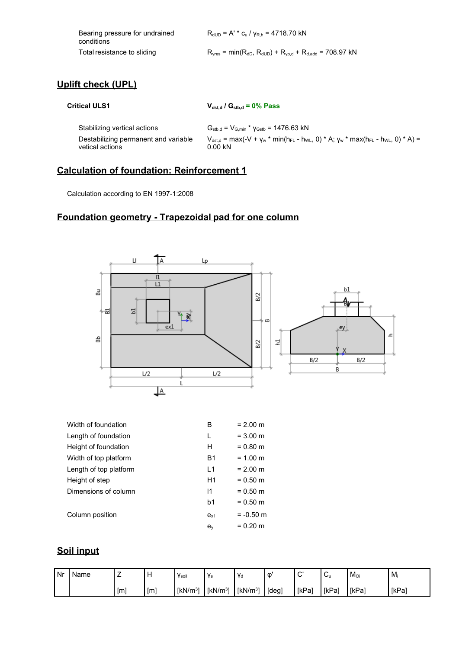| Bearing pressure for undrained<br>conditions | $R_{dUD} = A' * c_u / v_{R,h} = 4718.70$ kN                                                                        |
|----------------------------------------------|--------------------------------------------------------------------------------------------------------------------|
| Total resistance to sliding                  | $R_{\text{yres}}$ = min( $R_{\text{dD}}$ , $R_{\text{dUD}}$ ) + $R_{\text{yp,d}}$ + $R_{\text{d.add}}$ = 708.97 kN |

## **Uplift check (UPL)**

**Critical ULS1 Vdst,d / Gstb,d <sup>=</sup> 0% Pass**

Stabilizing vertical actions  $G_{\text{stb,d}} = V_{G,\text{min}} * v_{\text{Gstb}} = 1476.63 \text{ kN}$ Destabilizing permanent and variable vetical actions  $V_{dst,d}$  = max(-V + γ<sub>w</sub> \* min(h<sub>FL</sub> - h<sub>WL</sub>, 0) \* A; γ<sub>w</sub> \* max(h<sub>FL</sub> - h<sub>WL</sub>, 0) \* A) = 0.00 kN

#### **Calculation of foundation: Reinforcement 1**

Calculation according to EN 1997-1:2008

## **Foundation geometry - Trapezoidal pad for one column**



| Height of foundation   | н              | $= 0.80$ m  |
|------------------------|----------------|-------------|
| Width of top platform  | B <sub>1</sub> | $= 1.00$ m  |
| Length of top platform | l 1            | $= 2.00$ m  |
| Height of step         | H1             | $= 0.50$ m  |
| Dimensions of column   | 11             | $= 0.50$ m  |
|                        | b1             | $= 0.50$ m  |
| Column position        | $e_{x1}$       | $= -0.50$ m |
|                        | $e_v$          | $= 0.20$ m  |

## **Soil input**

| l Nr | Name |     |    | Ysoil        | ' Vs         | ' Va         | O       | $\sim$<br>. . | ⌒<br>◡ | Moi   | Mi    |
|------|------|-----|----|--------------|--------------|--------------|---------|---------------|--------|-------|-------|
|      |      | [m] | ſm | [ $kN/m^3$ ] | [ $kN/m^3$ ] | [ $kN/m^3$ ] | I [deg] | [kPa]         | [kPa]  | [kPa] | [kPa] |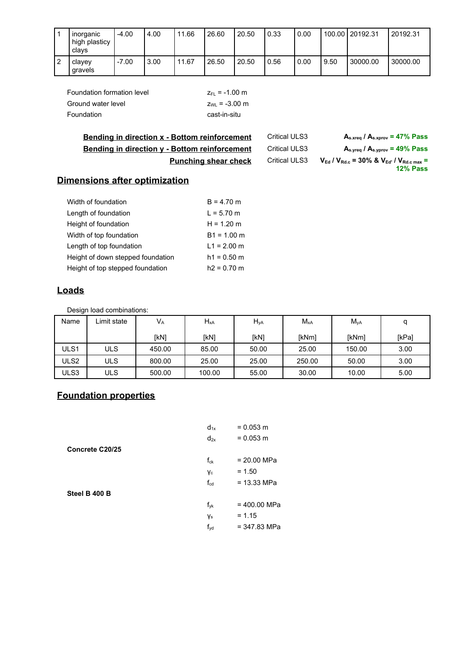|                | <b>Inorganic</b><br>high plasticy<br>clavs | $-4.00$ | 4.00 | 11.66 | 26.60 | 20.50 | 0.33 | 0.00 |      | 100.00 20192.31 | 20192.31 |
|----------------|--------------------------------------------|---------|------|-------|-------|-------|------|------|------|-----------------|----------|
| $\overline{2}$ | clavey<br>gravels                          | $-7.00$ | 3.00 | 11.67 | 26.50 | 20.50 | 0.56 | 0.00 | 9.50 | 30000.00        | 30000.00 |

| Foundation formation level | $Z_{FI} = -1.00$ m |
|----------------------------|--------------------|
| Ground water level         | $z_{W1} = -3.00$ m |
| Foundation                 | cast-in-situ       |

| <b>Bending in direction x - Bottom reinforcement</b> | <b>Critical ULS3</b> | $A_{s, xreq}$ / $A_{s, xprov}$ = 47% Pass                                                        |
|------------------------------------------------------|----------------------|--------------------------------------------------------------------------------------------------|
| <b>Bending in direction y - Bottom reinforcement</b> | <b>Critical ULS3</b> | $A_{s,vreq}$ / $A_{s,vprov}$ = 49% Pass                                                          |
| <b>Punching shear check</b>                          | <b>Critical ULS3</b> | $V_{\rm Ed}$ / $V_{\rm Rd.c}$ = 30% & $V_{\rm Ed'}$ / $V_{\rm Rd.c \, max}$ =<br><b>12% Pass</b> |

# **Dimensions after optimization**

| Width of foundation               | $B = 4.70$ m  |
|-----------------------------------|---------------|
| Length of foundation              | $L = 5.70$ m  |
| Height of foundation              | $H = 1.20$ m  |
| Width of top foundation           | $B1 = 1.00$ m |
| Length of top foundation          | $L1 = 2.00$ m |
| Height of down stepped foundation | $h1 = 0.50$ m |
| Height of top stepped foundation  | $h2 = 0.70$ m |

## **Loads**

Design load combinations:

| Name             | Limit state | $V_A$  | $H_{xA}$ | $H_{yA}$ | $M_{xA}$     | $M_{\text{yA}}$ | a     |
|------------------|-------------|--------|----------|----------|--------------|-----------------|-------|
|                  |             | [kN]   | [kN]     | [kN]     | <b>IkNml</b> | [kNm]           | [kPa] |
| ULS1             | ULS         | 450.00 | 85.00    | 50.00    | 25.00        | 150.00          | 3.00  |
| ULS <sub>2</sub> | ULS         | 800.00 | 25.00    | 25.00    | 250.00       | 50.00           | 3.00  |
| ULS3             | ULS         | 500.00 | 100.00   | 55.00    | 30.00        | 10.00           | 5.00  |

# **Foundation properties**

| $d_{1x}$        | $= 0.053$ m    |
|-----------------|----------------|
| $d_{2x}$        | $= 0.053$ m    |
|                 |                |
| $f_{ck}$        | $= 20.00$ MPa  |
| Yс              | $= 1.50$       |
| $f_{\rm cd}$    | $= 13.33$ MPa  |
|                 |                |
| $f_{yk}$        | $= 400.00$ MPa |
| Ys              | $= 1.15$       |
| $f_{\text{yd}}$ | $= 347.83$ MPa |
|                 |                |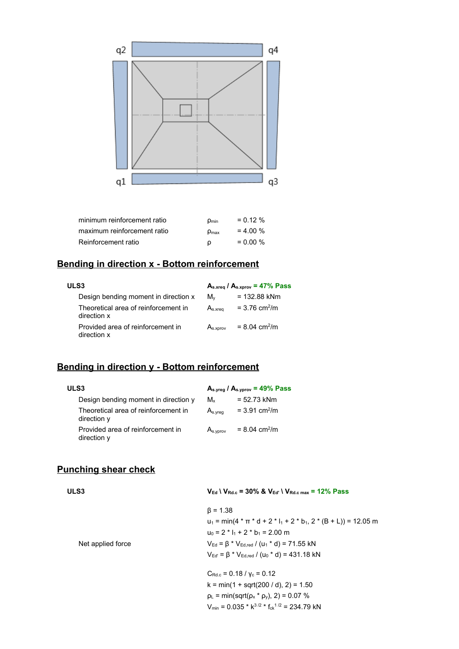

| minimum reinforcement ratio | $\rho_{\text{min}}$ | $= 0.12 \%$ |
|-----------------------------|---------------------|-------------|
| maximum reinforcement ratio | $D_{\text{max}}$    | $= 4.00 \%$ |
| Reinforcement ratio         | O                   | $= 0.00 \%$ |

## **Bending in direction <sup>x</sup> - Bottom reinforcement**

| ULS3                                                | $A_{s,xreq}$ / $A_{s,xprov}$ = 47% Pass |                             |  |
|-----------------------------------------------------|-----------------------------------------|-----------------------------|--|
| Design bending moment in direction x                | $M_{\rm v}$                             | $= 132.88$ kNm              |  |
| Theoretical area of reinforcement in<br>direction x | $A_{s.xrea}$                            | $= 3.76$ cm <sup>2</sup> /m |  |
| Provided area of reinforcement in<br>direction x    | A <sub>s,xorov</sub>                    | $= 8.04$ cm <sup>2</sup> /m |  |

## **Bending in direction y - Bottom reinforcement**

| ULS3                                                | $As.yreg / As.yprov = 49% Pass$ |                             |  |
|-----------------------------------------------------|---------------------------------|-----------------------------|--|
| Design bending moment in direction y                | $M_{x}$                         | $= 52.73$ kNm               |  |
| Theoretical area of reinforcement in<br>direction y | $A_{s.vrea}$                    | $= 3.91$ cm <sup>2</sup> /m |  |
| Provided area of reinforcement in<br>direction y    | A <sub>s.yprov</sub>            | $= 8.04$ cm <sup>2</sup> /m |  |

## **Punching shear check**

| ULS <sub>3</sub>  | $V_{\text{Ed}}$   $V_{\text{Rdc}}$ = 30% & $V_{\text{Ed}}$   $V_{\text{Rdc}}$ max = 12% Pass |
|-------------------|----------------------------------------------------------------------------------------------|
|                   | $\beta = 1.38$                                                                               |
|                   | $u_1 = min(4 \times \pi \times d + 2 \times l_1 + 2 \times b_1, 2 \times (B + L)) = 12.05$ m |
|                   | $u_0 = 2 * l_1 + 2 * b_1 = 2.00$ m                                                           |
| Net applied force | $V_{\text{Ed}} = \beta * V_{\text{Edred}} / (u_1 * d) = 71.55 \text{ kN}$                    |
|                   | $V_{\text{Ed}} = \beta * V_{\text{Edred}} / (u_0 * d) = 431.18 \text{ kN}$                   |
|                   | $C_{\text{Rd.c}} = 0.18 / v_c = 0.12$                                                        |
|                   | $k = min(1 + sqrt(200 / d), 2) = 1.50$                                                       |
|                   | $\rho_L$ = min(sqrt( $\rho_x * \rho_y$ ), 2) = 0.07 %                                        |

 $V_{\text{min}}$  = 0.035 \* k<sup>3/2</sup> \* f<sub>ck</sub><sup>1/2</sup> = 234.79 kN